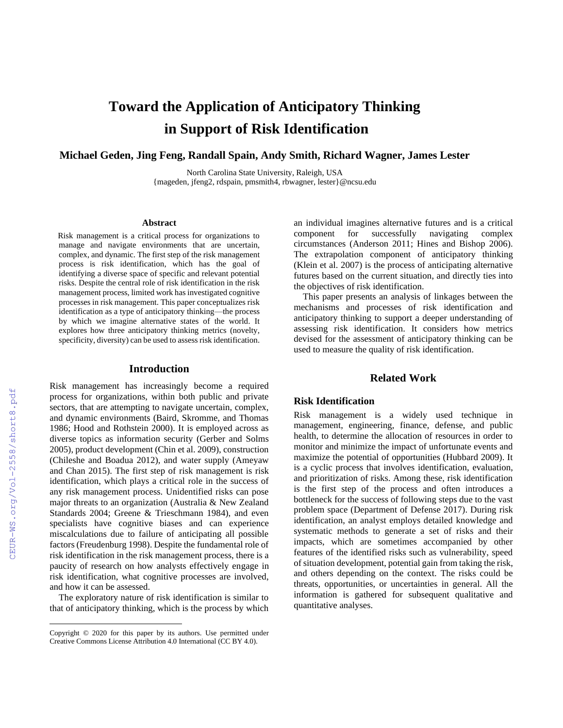# **Toward the Application of Anticipatory Thinking in Support of Risk Identification**

**Michael Geden, Jing Feng, Randall Spain, Andy Smith, Richard Wagner, James Lester**

North Carolina State University, Raleigh, USA {mageden, jfeng2, rdspain, pmsmith4, rbwagner, lester}@ncsu.edu

#### **Abstract**

Risk management is a critical process for organizations to manage and navigate environments that are uncertain, complex, and dynamic. The first step of the risk management process is risk identification, which has the goal of identifying a diverse space of specific and relevant potential risks. Despite the central role of risk identification in the risk management process, limited work has investigated cognitive processes in risk management. This paper conceptualizes risk identification as a type of anticipatory thinking—the process by which we imagine alternative states of the world. It explores how three anticipatory thinking metrics (novelty, specificity, diversity) can be used to assess risk identification.

#### **Introduction**

Risk management has increasingly become a required process for organizations, within both public and private sectors, that are attempting to navigate uncertain, complex, and dynamic environments (Baird, Skromme, and Thomas 1986; Hood and Rothstein 2000). It is employed across as diverse topics as information security (Gerber and Solms 2005), product development (Chin et al. 2009), construction (Chileshe and Boadua 2012), and water supply (Ameyaw and Chan 2015). The first step of risk management is risk identification, which plays a critical role in the success of any risk management process. Unidentified risks can pose major threats to an organization (Australia & New Zealand Standards 2004; Greene & Trieschmann 1984), and even specialists have cognitive biases and can experience miscalculations due to failure of anticipating all possible factors (Freudenburg 1998). Despite the fundamental role of risk identification in the risk management process, there is a paucity of research on how analysts effectively engage in risk identification, what cognitive processes are involved, and how it can be assessed.

The exploratory nature of risk identification is similar to that of anticipatory thinking, which is the process by which

an individual imagines alternative futures and is a critical component for successfully navigating complex circumstances (Anderson 2011; Hines and Bishop 2006). The extrapolation component of anticipatory thinking (Klein et al. 2007) is the process of anticipating alternative futures based on the current situation, and directly ties into the objectives of risk identification.

This paper presents an analysis of linkages between the mechanisms and processes of risk identification and anticipatory thinking to support a deeper understanding of assessing risk identification. It considers how metrics devised for the assessment of anticipatory thinking can be used to measure the quality of risk identification.

## **Related Work**

#### **Risk Identification**

Risk management is a widely used technique in management, engineering, finance, defense, and public health, to determine the allocation of resources in order to monitor and minimize the impact of unfortunate events and maximize the potential of opportunities (Hubbard 2009). It is a cyclic process that involves identification, evaluation, and prioritization of risks. Among these, risk identification is the first step of the process and often introduces a bottleneck for the success of following steps due to the vast problem space (Department of Defense 2017). During risk identification, an analyst employs detailed knowledge and systematic methods to generate a set of risks and their impacts, which are sometimes accompanied by other features of the identified risks such as vulnerability, speed of situation development, potential gain from taking the risk, and others depending on the context. The risks could be threats, opportunities, or uncertainties in general. All the information is gathered for subsequent qualitative and quantitative analyses.

Copyright © 2020 for this paper by its authors. Use permitted under Creative Commons License Attribution 4.0 International (CC BY 4.0).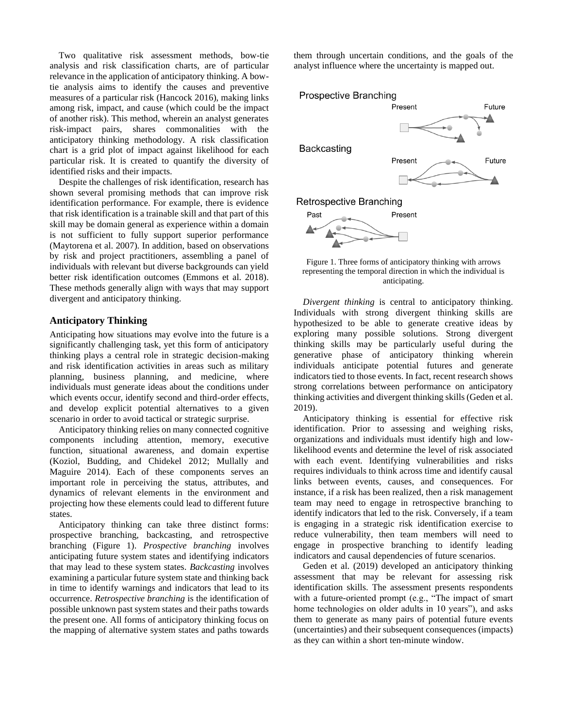Two qualitative risk assessment methods, bow-tie analysis and risk classification charts, are of particular relevance in the application of anticipatory thinking. A bowtie analysis aims to identify the causes and preventive measures of a particular risk (Hancock 2016), making links among risk, impact, and cause (which could be the impact of another risk). This method, wherein an analyst generates risk-impact pairs, shares commonalities with the anticipatory thinking methodology. A risk classification chart is a grid plot of impact against likelihood for each particular risk. It is created to quantify the diversity of identified risks and their impacts.

Despite the challenges of risk identification, research has shown several promising methods that can improve risk identification performance. For example, there is evidence that risk identification is a trainable skill and that part of this skill may be domain general as experience within a domain is not sufficient to fully support superior performance (Maytorena et al. 2007). In addition, based on observations by risk and project practitioners, assembling a panel of individuals with relevant but diverse backgrounds can yield better risk identification outcomes (Emmons et al. 2018). These methods generally align with ways that may support divergent and anticipatory thinking.

## **Anticipatory Thinking**

Anticipating how situations may evolve into the future is a significantly challenging task, yet this form of anticipatory thinking plays a central role in strategic decision-making and risk identification activities in areas such as military planning, business planning, and medicine, where individuals must generate ideas about the conditions under which events occur, identify second and third-order effects, and develop explicit potential alternatives to a given scenario in order to avoid tactical or strategic surprise.

Anticipatory thinking relies on many connected cognitive components including attention, memory, executive function, situational awareness, and domain expertise (Koziol, Budding, and Chidekel 2012; Mullally and Maguire 2014). Each of these components serves an important role in perceiving the status, attributes, and dynamics of relevant elements in the environment and projecting how these elements could lead to different future states.

Anticipatory thinking can take three distinct forms: prospective branching, backcasting, and retrospective branching (Figure 1). *Prospective branching* involves anticipating future system states and identifying indicators that may lead to these system states. *Backcasting* involves examining a particular future system state and thinking back in time to identify warnings and indicators that lead to its occurrence. *Retrospective branching* is the identification of possible unknown past system states and their paths towards the present one. All forms of anticipatory thinking focus on the mapping of alternative system states and paths towards them through uncertain conditions, and the goals of the analyst influence where the uncertainty is mapped out.





*Divergent thinking* is central to anticipatory thinking. Individuals with strong divergent thinking skills are hypothesized to be able to generate creative ideas by exploring many possible solutions. Strong divergent thinking skills may be particularly useful during the generative phase of anticipatory thinking wherein individuals anticipate potential futures and generate indicators tied to those events. In fact, recent research shows strong correlations between performance on anticipatory thinking activities and divergent thinking skills (Geden et al. 2019).

Anticipatory thinking is essential for effective risk identification. Prior to assessing and weighing risks, organizations and individuals must identify high and lowlikelihood events and determine the level of risk associated with each event. Identifying vulnerabilities and risks requires individuals to think across time and identify causal links between events, causes, and consequences. For instance, if a risk has been realized, then a risk management team may need to engage in retrospective branching to identify indicators that led to the risk. Conversely, if a team is engaging in a strategic risk identification exercise to reduce vulnerability, then team members will need to engage in prospective branching to identify leading indicators and causal dependencies of future scenarios.

Geden et al. (2019) developed an anticipatory thinking assessment that may be relevant for assessing risk identification skills. The assessment presents respondents with a future-oriented prompt (e.g., "The impact of smart home technologies on older adults in 10 years"), and asks them to generate as many pairs of potential future events (uncertainties) and their subsequent consequences (impacts) as they can within a short ten-minute window.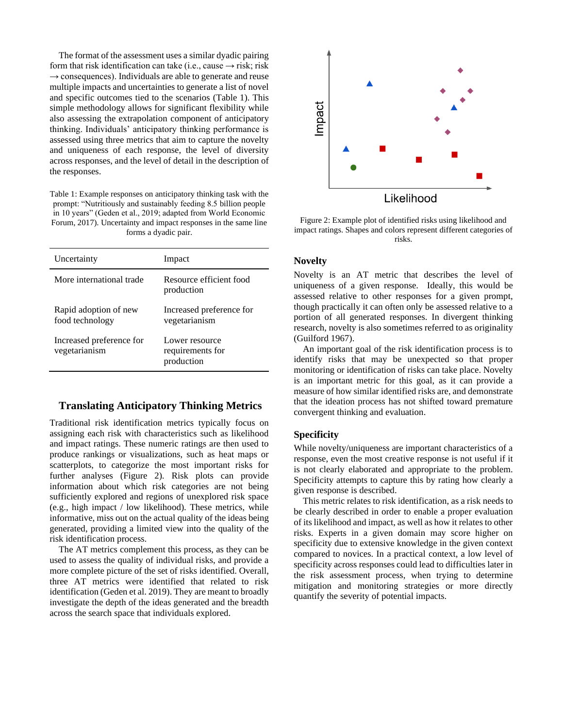The format of the assessment uses a similar dyadic pairing form that risk identification can take (i.e., cause  $\rightarrow$  risk; risk  $\rightarrow$  consequences). Individuals are able to generate and reuse multiple impacts and uncertainties to generate a list of novel and specific outcomes tied to the scenarios (Table 1). This simple methodology allows for significant flexibility while also assessing the extrapolation component of anticipatory thinking. Individuals' anticipatory thinking performance is assessed using three metrics that aim to capture the novelty and uniqueness of each response, the level of diversity across responses, and the level of detail in the description of the responses.

Table 1: Example responses on anticipatory thinking task with the prompt: "Nutritiously and sustainably feeding 8.5 billion people in 10 years" (Geden et al., 2019; adapted from World Economic Forum, 2017). Uncertainty and impact responses in the same line forms a dyadic pair.

| Uncertainty                               | Impact                                           |
|-------------------------------------------|--------------------------------------------------|
| More international trade                  | Resource efficient food<br>production            |
| Rapid adoption of new<br>food technology  | Increased preference for<br>vegetarianism        |
| Increased preference for<br>vegetarianism | Lower resource<br>requirements for<br>production |

# **Translating Anticipatory Thinking Metrics**

Traditional risk identification metrics typically focus on assigning each risk with characteristics such as likelihood and impact ratings. These numeric ratings are then used to produce rankings or visualizations, such as heat maps or scatterplots, to categorize the most important risks for further analyses (Figure 2). Risk plots can provide information about which risk categories are not being sufficiently explored and regions of unexplored risk space (e.g., high impact / low likelihood). These metrics, while informative, miss out on the actual quality of the ideas being generated, providing a limited view into the quality of the risk identification process.

The AT metrics complement this process, as they can be used to assess the quality of individual risks, and provide a more complete picture of the set of risks identified. Overall, three AT metrics were identified that related to risk identification (Geden et al. 2019). They are meant to broadly investigate the depth of the ideas generated and the breadth across the search space that individuals explored.



Figure 2: Example plot of identified risks using likelihood and impact ratings. Shapes and colors represent different categories of risks.

#### **Novelty**

Novelty is an AT metric that describes the level of uniqueness of a given response. Ideally, this would be assessed relative to other responses for a given prompt, though practically it can often only be assessed relative to a portion of all generated responses. In divergent thinking research, novelty is also sometimes referred to as originality (Guilford 1967).

An important goal of the risk identification process is to identify risks that may be unexpected so that proper monitoring or identification of risks can take place. Novelty is an important metric for this goal, as it can provide a measure of how similar identified risks are, and demonstrate that the ideation process has not shifted toward premature convergent thinking and evaluation.

#### **Specificity**

While novelty/uniqueness are important characteristics of a response, even the most creative response is not useful if it is not clearly elaborated and appropriate to the problem. Specificity attempts to capture this by rating how clearly a given response is described.

This metric relates to risk identification, as a risk needs to be clearly described in order to enable a proper evaluation of its likelihood and impact, as well as how it relates to other risks. Experts in a given domain may score higher on specificity due to extensive knowledge in the given context compared to novices. In a practical context, a low level of specificity across responses could lead to difficulties later in the risk assessment process, when trying to determine mitigation and monitoring strategies or more directly quantify the severity of potential impacts.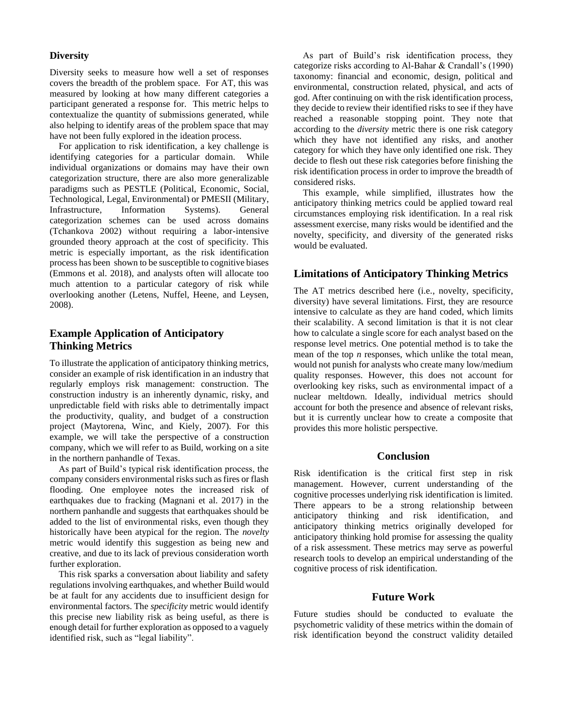## **Diversity**

Diversity seeks to measure how well a set of responses covers the breadth of the problem space. For AT, this was measured by looking at how many different categories a participant generated a response for. This metric helps to contextualize the quantity of submissions generated, while also helping to identify areas of the problem space that may have not been fully explored in the ideation process.

For application to risk identification, a key challenge is identifying categories for a particular domain. While individual organizations or domains may have their own categorization structure, there are also more generalizable paradigms such as PESTLE (Political, Economic, Social, Technological, Legal, Environmental) or PMESII (Military, Infrastructure, Information Systems). General categorization schemes can be used across domains (Tchankova 2002) without requiring a labor-intensive grounded theory approach at the cost of specificity. This metric is especially important, as the risk identification process has been shown to be susceptible to cognitive biases (Emmons et al. 2018), and analysts often will allocate too much attention to a particular category of risk while overlooking another (Letens, Nuffel, Heene, and Leysen, 2008).

# **Example Application of Anticipatory Thinking Metrics**

To illustrate the application of anticipatory thinking metrics, consider an example of risk identification in an industry that regularly employs risk management: construction. The construction industry is an inherently dynamic, risky, and unpredictable field with risks able to detrimentally impact the productivity, quality, and budget of a construction project (Maytorena, Winc, and Kiely, 2007). For this example, we will take the perspective of a construction company, which we will refer to as Build, working on a site in the northern panhandle of Texas.

As part of Build's typical risk identification process, the company considers environmental risks such as fires or flash flooding. One employee notes the increased risk of earthquakes due to fracking (Magnani et al. 2017) in the northern panhandle and suggests that earthquakes should be added to the list of environmental risks, even though they historically have been atypical for the region. The *novelty*  metric would identify this suggestion as being new and creative, and due to its lack of previous consideration worth further exploration.

This risk sparks a conversation about liability and safety regulations involving earthquakes, and whether Build would be at fault for any accidents due to insufficient design for environmental factors. The *specificity* metric would identify this precise new liability risk as being useful, as there is enough detail for further exploration as opposed to a vaguely identified risk, such as "legal liability".

As part of Build's risk identification process, they categorize risks according to Al-Bahar & Crandall's (1990) taxonomy: financial and economic, design, political and environmental, construction related, physical, and acts of god. After continuing on with the risk identification process, they decide to review their identified risks to see if they have reached a reasonable stopping point. They note that according to the *diversity* metric there is one risk category which they have not identified any risks, and another category for which they have only identified one risk. They decide to flesh out these risk categories before finishing the risk identification process in order to improve the breadth of considered risks.

This example, while simplified, illustrates how the anticipatory thinking metrics could be applied toward real circumstances employing risk identification. In a real risk assessment exercise, many risks would be identified and the novelty, specificity, and diversity of the generated risks would be evaluated.

# **Limitations of Anticipatory Thinking Metrics**

The AT metrics described here (i.e., novelty, specificity, diversity) have several limitations. First, they are resource intensive to calculate as they are hand coded, which limits their scalability. A second limitation is that it is not clear how to calculate a single score for each analyst based on the response level metrics. One potential method is to take the mean of the top *n* responses, which unlike the total mean, would not punish for analysts who create many low/medium quality responses. However, this does not account for overlooking key risks, such as environmental impact of a nuclear meltdown. Ideally, individual metrics should account for both the presence and absence of relevant risks, but it is currently unclear how to create a composite that provides this more holistic perspective.

## **Conclusion**

Risk identification is the critical first step in risk management. However, current understanding of the cognitive processes underlying risk identification is limited. There appears to be a strong relationship between anticipatory thinking and risk identification, and anticipatory thinking metrics originally developed for anticipatory thinking hold promise for assessing the quality of a risk assessment. These metrics may serve as powerful research tools to develop an empirical understanding of the cognitive process of risk identification.

## **Future Work**

Future studies should be conducted to evaluate the psychometric validity of these metrics within the domain of risk identification beyond the construct validity detailed